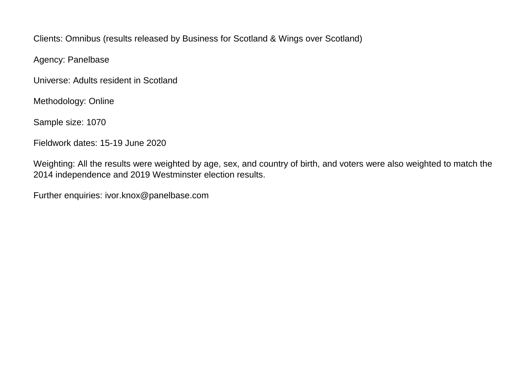Clients: Omnibus (results released by Business for Scotland & Wings over Scotland)

Agency: Panelbase

Universe: Adults resident in Scotland

Methodology: Online

Sample size: 1070

Fieldwork dates: 15-19 June 2020

Weighting: All the results were weighted by age, sex, and country of birth, and voters were also weighted to match the 2014 independence and 2019 Westminster election results.

Further enquiries: ivor.knox@panelbase.com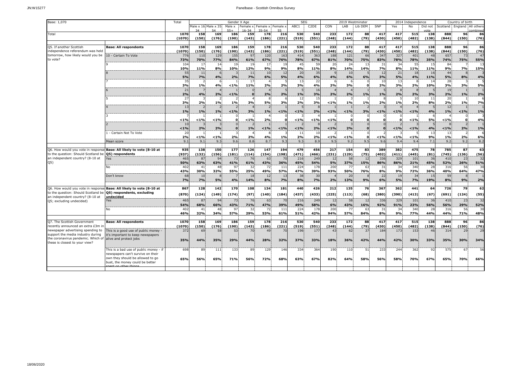# JN:W15277 Panelbase - Scottish Omnibus Survey

| Base: 1,070                                                                                 |                                                                          | Total                     | Gender X Age         |                     |               |                   |                                | <b>SEG</b><br>2019 Westminster |            |                   |             |           |                          | 2014 Independence |          |                  | Country of birth |            |                             |                       |
|---------------------------------------------------------------------------------------------|--------------------------------------------------------------------------|---------------------------|----------------------|---------------------|---------------|-------------------|--------------------------------|--------------------------------|------------|-------------------|-------------|-----------|--------------------------|-------------------|----------|------------------|------------------|------------|-----------------------------|-----------------------|
|                                                                                             |                                                                          |                           |                      | Male x 16 Male x 35 | Male x<br>554 | Female x<br>$-3/$ | Female x Female x<br>$25 - 5/$ |                                | ABC1       | C <sub>2</sub> DE | CON         | LAB       | Lib DEM                  | SNP               | Yes      | No               | Did not          |            | Scotland England All others | hine                  |
| Total                                                                                       |                                                                          | 1070                      | 158                  | 169                 | 186           | 159               | 178                            | 216                            | 530        | 540               | 233         | 172       | 88                       | 417               | 417      | 515              | 138              | 888        | 96                          | 86                    |
|                                                                                             |                                                                          | (1070)                    | (150)                | (176)               | (190)         | (143)             | (186)                          | (221)                          | (519)      | (551)             | (248)       | (144)     | (79)                     | (430)             | (450)    | (482)            | (138)            | (844)      | (150)                       | (76)                  |
| Q5. If another Scottish                                                                     | <b>Base: All respondents</b>                                             | 1070                      | 158                  | 169                 | 186           | 159               | 178                            | 216                            | 530        | 540               | 233         | 172       | 88                       | 417               | 417      | 515              | 138              | 888        | 96                          | 86                    |
| independence referendum was held                                                            |                                                                          | (1070)                    | (150)                | (176)               | (190)         | (143)             | (186)                          | (221)                          | (519)      | (551)             | (248)       | (144)     | (79)                     | (430)             | (450)    | (482)            | (138)            | (844)      | (150)                       | (76)                  |
| tomorrow, how likely would you be                                                           | 10 - Certain To Vote                                                     | 776                       | 110                  | 129                 | 155           | 97                | 120                            | 163                            | 414        | 363               | 188         | 121       | 66                       | 347               | 327      | 401              | 48               | 657        | 73                          | 47                    |
| to vote?                                                                                    |                                                                          | 73%                       | 70%                  | 77%                 | 84%           | 61%               | 67%                            | 76%                            | 78%        | 67%               | 81%         | 70%       | 75%                      | 83%               | 78%      | 78%              | 35%              | 74%        | 75%                         | 55%                   |
|                                                                                             |                                                                          | 10 <sup>2</sup><br>10%    | 17<br>11%            | 14<br>8%            | 19<br>10%     | 19<br>12%         | 17<br>9%                       | 19<br>9%                       | 45<br>8%   | 59<br>11%         | 20<br>8%    | 24<br>14% | 13<br>14%                | 31<br>7%          | 34<br>8% | 55<br><b>11%</b> | 15<br>11%        | 84<br>9%   | 7%                          | 13<br>15%             |
|                                                                                             |                                                                          | 55                        | 11                   | 6                   |               | 11                | 10                             | 12                             | 20         | 35                |             | 10        | 5.                       | 12                | 21       | 18               | 16               | 44         | $\mathbf{8}$                |                       |
|                                                                                             |                                                                          | 5%<br>35                  | 7%<br>$\overline{2}$ | 4%<br>6             | 2%            | 7%<br>17          | 6%                             | 5%                             | 4%<br>13   | 6%<br>22          | 4%          | 6%<br>6   | 6%<br>$\Omega$           | 3%<br>10          | 5%<br>13 | 4%<br>8          | 11%<br>14        | 5%<br>28   | 8%                          | 4%                    |
|                                                                                             |                                                                          | 3%                        | 1%                   | 4%                  | < 1%          | 11%               | 2%                             | 2%                             | 3%         | 4%                | 2%          | 3%        | $\mathbf{0}$             | 2%                | 3%       | 2%               | 10%              | 3%         | 3%                          | 5%                    |
|                                                                                             |                                                                          | 21                        |                      |                     |               |                   |                                |                                |            | 16                |             |           |                          |                   |          |                  |                  | 19         |                             |                       |
|                                                                                             |                                                                          | 2%<br>27                  | 4%                   | 2%                  | 1%            |                   | 2%                             | 2%                             | 1%<br>12   | 3%<br>15          | 2%          | 2%        | 1%                       | 1%                | 2%       | 2%<br>10         | 3%<br>11         | 2%<br>20   | 1%                          | 2%                    |
|                                                                                             |                                                                          | 3%                        | 2%                   | 1%                  | 1%            | <b>3%</b>         | <b>5%</b>                      | 3%                             | 2%         | 3%                | $< 1\%$     | 1%        | 1%                       | 2%                | 1%       | 2%               | 8%               | 2%         | 1%                          | 7%                    |
|                                                                                             |                                                                          | $\overline{1}$<br>1%      | 1%                   | 1%                  | 1%            | 3%                | 1%                             | $< 1\%$                        | < 1%       | 2%                | < 1%        | 1%        | 3%                       | < 1%              | < 1%     | < 1%             | 4%               | 12<br>1%   | < 1%                        | 1%                    |
|                                                                                             |                                                                          |                           |                      |                     |               |                   |                                |                                |            |                   |             |           |                          |                   |          |                  |                  |            |                             |                       |
|                                                                                             |                                                                          | $< 1\%$<br>1 <sup>1</sup> | $< 1\%$              | < 1%                | $\Omega$      | $1\%$             | 2%                             |                                | < 1%       | < 1%              | $1\%$       | $\Omega$  | O<br>$\Omega$            |                   |          | $< 1\%$          | 5%               | < 1%       | $\Omega$                    | 4%                    |
|                                                                                             |                                                                          | < 1%                      | 2%                   | 2%                  | $\mathbf{0}$  | 1%                | < 1%                           | < 1%                           | < 1%       | 2%                | < 1%        | 2%        | $\Omega$                 |                   | < 1%     | < 1%             | 4%               | < 1%       | 2%                          | $1\%$                 |
|                                                                                             | 1 - Certain Not To Vote                                                  | 2 <sup>0</sup><br>2%      | < 1%                 | $1\%$               | 2%            | 2%                | 4%                             | 1%                             | 11<br>2%   | 10<br>2%          | $1\%$       | $1\%$     | $\Omega$<br>$\mathbf{0}$ | < 1%              | < 1%     | < 1%             | 13<br>9%         | 13<br>1%   | 2%                          | 6%                    |
|                                                                                             | Mean score                                                               | 9.1                       | 9.1                  | 9.3                 | 9.6           | 8.8               | 8.7                            | 9.3                            | 9.3        | 8.9               | 9.5         | 9.2       | 9.5                      | 9.6               | 9.4      | 9.4              | 7.1              | 9.2        | 9.2                         | 8.2                   |
| Q6. How would you vote in response                                                          | Base: All likely to vote (8-10 at                                        | 935                       | 138                  | 150                 | 177           | 126               | 147                            | 194                            | 479        | 456               | 217         | 154       | 83                       | 389               | 382      | 475              | 78               | 785        | 87                          | 63                    |
| to the question: Should Scotland be                                                         | Q5) respondents                                                          | (937)                     | (132)                | (156)               | (181)         | (114)             | (154)                          | (198)                          | (471)      | (466)             | (231)       | (129)     | (75)                     | (402)             | (411)    | (445)            | (81)             | (745)      | (136)                       | (56)                  |
| an independent country? (8-10 at                                                            | es)                                                                      | 465                       | 87                   | 94                  | 73            | 76                | 63                             | 70                             | 216        | 249               | 12          | 58        | 12                       | 336               | 329      | 101              | 36               | 410        | 23                          | 32                    |
| Q5)                                                                                         |                                                                          | 50%                       | 63%                  | 63%                 | 41%           | 61%               | 43%                            | 36%                            | 45%        | 54%               | 5%          | 37%       | 15%                      | 86%               | 86%      | 21%              | 45%              | 52%        | 26%                         | 51%                   |
|                                                                                             | No                                                                       | 402<br>43%                | 41<br>30%            | 48<br>32%           | 97<br>55%     | 32<br>25%         | 72<br>49%                      | 111<br>57%                     | 224<br>47% | 178<br>39%        | 200<br>93%  | 77<br>50% | 63<br>76%                | 31<br>8%          | 34<br>9% | 340<br>72%       | 28<br>36%        | 316<br>40% | 56<br>64%                   | 3 <sup>c</sup><br>47% |
|                                                                                             | Don't know                                                               | 68                        | 10                   | $\mathcal{R}$       |               | 18                | 12                             | 13                             | 38         | 30                |             | 20        | 8                        | 22                | 19       | 34               | 15               | 59         | $\mathbf{8}$                |                       |
|                                                                                             |                                                                          | 7%                        | 7%                   | 5%                  | 4%            | 14%               | 8%                             | 7%                             | 8%         | 7%                | 2%          | 13%       | 9%                       | 6%                | 5%       | 7%               | 19%              | 8%         | 9%                          | 2%                    |
| Q6. How would you vote in response Base: All likely to vote (8-10 at                        |                                                                          | 867                       | 128                  | 142                 | 170           | 108               | 134                            | 181                            | 440        | 426               | 212         | 135       | 76                       | 367               | 362      | 441              | 64               | 726        | 79                          | 62                    |
| to the question: Should Scotland be                                                         | Q5) respondents, excluding                                               | (870)                     | (124)                | (149)               | (174)         | (97)              | (140)                          | (184)                          | (437)      | (433)             | (225)       | (113)     | (68)                     | (380)             | (390)    | (413)            | (67)             | (691)      | (124)                       | (55)                  |
| an independent country? (8-10 at                                                            | undecided                                                                | 465                       | 87                   | 94                  | 73            | 76                | 63                             | 70                             | 216        | 249               | 12          | 58        | 12                       | 336               | 329      | 101              | 36               | 410        | 23                          | 32                    |
| Q5; excluding undecided)                                                                    | Yes                                                                      | 54%                       | 68%                  | 66%                 | 43%           | 71%               | 47%                            | 39%                            | 49%        | 58%               | 6%          | 43%       | 16%                      | 92%               | 91%      | 23%              | 56%              | 56%        | 29%                         | 52%                   |
|                                                                                             | No                                                                       | 402                       | 41                   | 48                  | 97            | 32                | 72                             | 111                            | 224        | 178               | 200         | 77        | 63                       | 31                | 34       | 340              | 28               | 316        | 56                          | 30                    |
|                                                                                             |                                                                          | 46%                       | 32%                  | 34%                 | 57%           | 29%               | 53%                            | 61%                            | 51%        | 42%               | 94%         | 57%       | 84%                      | 8%                | 9%       | 77%              | 44%              | 44%        | 71%                         | 48%                   |
| Q7. The Scottish Government                                                                 | <b>Base: All respondents</b>                                             | 1070                      | 158                  | 169                 | 186           | 159               | 178                            | 216                            | 530        | 540               | 233         | 172       | 88                       | 417               | 417      | 515              | 138              | 888        | 96                          | 86                    |
| recently announced an extra £3m ir                                                          |                                                                          | (1070)                    | (150)                | (176)<br>58         | (190)         | (143)             | (186)                          | (221)                          | (519)      | (551)             | (248)<br>43 | (144)     | (79)<br>37               | (430)             | (450)    | (482)            | (138)            | (844)      | (150)                       | (76)                  |
| newspaper advertising spending to<br>support the media industry during                      | This is a good use of public money -<br>t's important to keep newspapers | 372                       | 69                   |                     | 53            | 70                | 49                             | 70                             | 196        | 177               |             | 62        |                          | 184               | 173      | 153              | 46               | 314        | 29                          |                       |
| the coronavirus pandemic. Which of alive and protect jobs<br>these is closest to your view? |                                                                          | 35%                       | 44%                  | 35%                 | 29%           | 44%               | 28%                            | 32%                            | 37%        | 33%               | <b>18%</b>  | 36%       | 42%                      | 44%               | 42%      | 30%              | 33%              | 35%        | 30%                         | 34%                   |
|                                                                                             |                                                                          |                           |                      |                     |               |                   |                                |                                |            |                   |             |           |                          |                   |          |                  |                  |            |                             |                       |
|                                                                                             | This is a bad use of public money - if                                   | 698                       | 89                   | 111                 | 133           | 89                | 129                            | 146                            | 334        | 364               | 190         | 110       | 51                       | 233               | 244      | 362              | 92               | 575        | 67                          | 56                    |
|                                                                                             | newspapers can't survive on their<br>own they should be allowed to go    |                           |                      |                     |               |                   |                                |                                |            |                   |             |           |                          |                   |          |                  |                  |            |                             |                       |
|                                                                                             | bust, the money could be better                                          | 65%                       | 56%                  | 65%                 | 71%           | 56%               | <b>72%</b>                     | 68%                            | 63%        | 67%               | 82%         | 64%       | <b>58%</b>               | 56%               | 58%      | <b>70%</b>       | 67%              | 65%        | <b>70%</b>                  | 66%                   |
|                                                                                             |                                                                          |                           |                      |                     |               |                   |                                |                                |            |                   |             |           |                          |                   |          |                  |                  |            |                             |                       |
|                                                                                             |                                                                          |                           |                      |                     |               |                   |                                |                                |            |                   |             |           |                          |                   |          |                  |                  |            |                             |                       |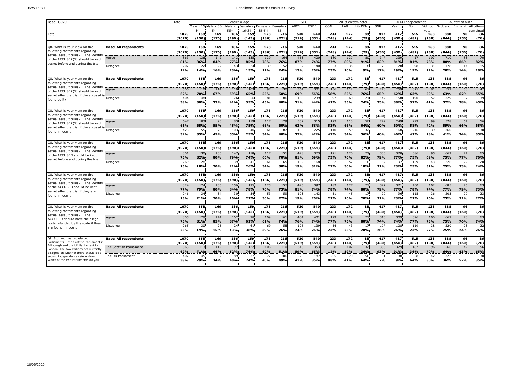# JN:W15277 Panelbase - Scottish Omnibus Survey

| Base: 1,070                                                                    |                              | Total           | Gender X Age |                     |               |          |                   |                | <b>SEG</b><br>2019 Westminster |                   |       |           |           | 2014 Independence |       |       | Country of birth |            |                    |                |
|--------------------------------------------------------------------------------|------------------------------|-----------------|--------------|---------------------|---------------|----------|-------------------|----------------|--------------------------------|-------------------|-------|-----------|-----------|-------------------|-------|-------|------------------|------------|--------------------|----------------|
|                                                                                |                              |                 |              | Male x 16 Male x 35 | Male x<br>cc. | Female x | Female x<br>35.54 | Female ><br>EE | ABC1                           | C <sub>2</sub> DE | CON   | LAB       | Lib DEM   | SNP               | Yes   | No    | Did not          | Scotland : | England All others | mhiner         |
| Total                                                                          |                              | 1070            | 158          | 169                 | 186           | 159      | 178               | 216            | 530                            | 540               | 233   | 172       | 88        | 417               | 417   | 515   | 138              | 888        | 96                 | 86             |
|                                                                                |                              | (1070)          | (150)        | (176)               | (190)         | (143)    | (186)             | (221)          | (519)                          | (551)             | (248) | (144)     | (79)      | (430)             | (450) | (482) | (138)            | (844)      | (150)              | (76)           |
|                                                                                |                              |                 |              |                     |               |          |                   |                |                                |                   |       |           |           |                   |       |       |                  |            |                    |                |
| Q8. What is your view on the                                                   | <b>Base: All respondents</b> | 1070            | 158          | 169                 | 186           | 159      | 178               | 216            | 530                            | 540               | 233   | 172       | 88        | 417               | 417   | 515   | 138              | 888        | 96                 | 86             |
| following statements regarding                                                 |                              | (1070)          | (150)        | (176)               | (190)         | (143)    | (186)             | (221)          | (519)                          | (551)             | (248) | (144)     | (79)      | (430)             | (450) | (482) | (138)            | (844)      | (150)              | (76)           |
| sexual assault trials?  The identit<br>of the ACCUSER(S) should be kept        | Agree                        | 86              | 136          | 142                 | 143           | 135      | 139               | 164            | 463                            | 400               | 180   | 137       | 80        | 347               | 339   | 417   | 107              | 710        | 83                 | 70             |
| secret before and during the trial                                             |                              | 81%             | 86%          | 84%                 | 77%           | 85%      | 78%               | 76%            | 87%                            | 74%               | 77%   | 80%       | 91%       | 83%               | 81%   | 81%   | 78%              | 80%        | 86%                | 82%            |
|                                                                                | Disagree                     | 20 <sub>2</sub> | 22           | 27                  | 43            | -24      | 39                | -52            | 67                             | 140               | 53    | 35        |           | 70                | 78    | 98    | 31               | 178        | 14                 | 15             |
|                                                                                |                              | 19%             | 14%          | 16%                 | 23%           | 15%      | 22%               | 24%            | 13%                            | 26%               | 23%   | 20%       | 9%        | 17%               | 19%   | 19%   | 22%              | 20%        | 14%                | 18%            |
|                                                                                |                              |                 |              |                     |               |          |                   |                |                                |                   |       |           |           |                   |       |       |                  |            |                    |                |
| Q8. What is your view on the                                                   | <b>Base: All respondents</b> | 1070            | 158          | 169                 | 186           | 159      | 178               | 216            | 530                            | 540               | 233   | 172       | 88        | 417               | 417   | 515   | 138              | 888        | 96                 | 86             |
| following statements regarding                                                 |                              | (1070           | (150)        | (176)               | (190)         | (143)    | (186)             | (221)          | (519)                          | (551)             | (248) | (144)     | (79)      | (430)             | (450) | (482) | (138)            | (844)      | (150)              | (76)           |
| sexual assault trials?  The identit<br>of the ACCUSER(S) should be kept        | Agree                        | 666             | 110          | 114                 | 110           | 103      | 97                | 130            | 364                            | 301               | 136   | 112       | 67        | 270               | 259   | 325   | 81               | 559        | 60                 | 47             |
| secret after the trial if the accused                                          |                              | 62%             | 70%          | 67%                 | 59%           | 65%      | 55%               | 60%            | 69%                            | 56%               | 58%   | 65%       | 76%       | 65%               | 62%   | 63%   | 59%              | 63%        | 62%                | 55%            |
| found guilty                                                                   | Disagree                     | 40 <sub>4</sub> | 48           | 55                  | 76            | 56       | 81                | 86             | 165                            | 239               | 97    | 60        | 21        | 147               | 158   | 190   | -57              | 329        | 37                 | 39             |
|                                                                                |                              | 38%             | 30%          | 33%                 | 41%           | 35%      | 45%               | 40%            | 31%                            | 44%               | 42%   | 35%       | 24%       | 35%               | 38%   | 37%   | 41%              | 37%        | 38%                | 45%            |
|                                                                                |                              |                 |              |                     |               |          |                   |                |                                |                   |       |           |           |                   |       |       |                  |            |                    |                |
| Q8. What is your view on the                                                   | <b>Base: All respondents</b> | 1070            | 158          | 169                 | 186           | 159      | 178               | 216            | 530                            | 540               | 233   | 172       | 88        | 417               | 417   | 515   | 138              | 888        | 96                 | 86             |
| following statements regarding                                                 |                              | (1070)          | (150)        | (176)               | (190)         | (143)    | (186)             | (221)          | (519)                          | (551)             | (248) | (144)     | (79)      | (430)             | (450) | (482) | (138)            | (844)      | (150)              | (76)           |
| sexual assault trials?  The identity<br>of the ACCUSER(S) should be kept       | Agree                        | 647             | 103          | 93                  | 83            | 119      | 117               | 129            | 332                            | 31                | 123   | 113       | 56        | 249               | 249   | 299   | 99               | 528        | 64                 | 56             |
| secret after the trial if the accused                                          |                              | 61%             | 65%          | 55%                 | 45%           | 75%      | 66%               | 60%            | 63%                            | 58%               | 53%   | 66%       | 64%       | 60%               | 60%   | 58%   | 72%              | 59%        | 66%                | 65%            |
| found innocent                                                                 | Disagree                     | 42              | 55           | 76                  | 103           | 40       | 61                | 87             | 198                            | 225               | 110   | 59        | 32        | 168               | 168   | 216   | 39               | 360        | 33                 | 30             |
|                                                                                |                              | 39%             | 35%          | 45%                 | 55%           | 25%      | 34%               | 40%            | 37%                            | 42%               | 47%   | 34%       | 36%       | 40%               | 40%   | 42%   | 28%              | 41%        | 34%                | 35%            |
|                                                                                |                              |                 |              |                     |               |          |                   |                |                                |                   |       |           |           |                   |       |       |                  |            |                    |                |
| Q8. What is your view on the<br>following statements regarding                 | <b>Base: All respondents</b> | 1070            | 158          | 169                 | 186           | 159      | 178               | 216            | 530                            | 540               | 233   | 172       | 88        | 417               | 417   | 515   | 138              | 888        | 96                 | 86             |
|                                                                                |                              | (1070)          | (150)        | (176)               | (190)         | (143)    | (186)             | (221)          | (519)                          | (551)             | (248) | (144)     | (79)      | (430)             | (450) | (482) | (138)            | (844)      | (150)              | (76)           |
| sexual assault trials?  The identit<br>of the ACCUSED should be kept           | Agree                        | 801             | 130          | 136                 | 147           | 118      | 117               | 151            | 428                            | 37 <sup>3</sup>   | 171   | 120       | 72        | 330               | 320   | 386   | 95               | 662        | 74                 | 65             |
| secret before and during the trial                                             |                              | 75%             | 82%          | 80%                 | 79%           | 74%      | 66%               | 70%            | 81%                            | 69%               | 73%   | 70%       | 82%       | 79%               | 77%   | 75%   | 69%              | 75%        | 77%                | 76%            |
|                                                                                | Disagree                     | 269             | 28           | 33                  | 39            | 41       | 61                | 65             | 102                            | 168               | 62    | 52        | 16        | 87                | 97    | 129   | 43               | 226        | 22                 | 20             |
|                                                                                |                              | 25%             | 18%          | 20%                 | 21%           | 26%      | 34%               | 30%            | 19%                            | 31%               | 27%   | 30%       | 18%       | 21%               | 23%   | 25%   | 31%              | 25%        | 23%                | 24%            |
| Q8. What is your view on the                                                   | <b>Base: All respondents</b> | 1070            | 158          | 169                 | 186           | 159      | 178               | 216            | 530                            | 540               | 233   | 172       | 88        | 417               | 417   | 515   | 138              | 888        | 96                 | 86             |
| following statements regarding                                                 |                              |                 |              |                     |               |          |                   |                |                                |                   |       |           |           |                   |       |       |                  |            |                    |                |
| sexual assault trials?  The identity                                           |                              | (1070           | (150)        | (176)               | (190)         | (143)    | (186)             | (221)          | (519)                          | (551)             | (248) | (144)     | (79)      | (430)             | (450) | (482) | (138)            | (844)      | (150)              | (76)           |
| of the ACCUSED should be kept                                                  | Agree                        | 824             | 124          | 135                 | 156           | 125      | 125               | 157            | 426                            | 397               | 182   | 127       | 71        | 327               | 321   | 400   | 102              | 685        | 76                 | 63             |
| secret after the trial if they are                                             |                              | 77%             | 79%          | 80%                 | 84%           | 78%      | 70%               | 73%            | 81%                            | 74%               | 78%   | 74%       | 80%       | 79%               | 77%   | 78%   | 74%              | 77%        | 79%                | 73%            |
| found innocent                                                                 | Disagree                     | 246             | 34           | 34                  | 30            | 34       | 53                | 59<br>27%      | 103                            | 14 <sup>2</sup>   | 51    | 45        | 17        | 90                | 96    | 115   | 36               | 203        | 20                 | 2 <sup>3</sup> |
|                                                                                |                              | 23%             | 21%          | 20%                 | 16%           | 22%      | 30%               |                | 19%                            | 26%               | 22%   | 26%       | 20%       | 21%               | 23%   | 22%   | 26%              | 23%        | 21%                | 27%            |
| Q8. What is your view on the                                                   | <b>Base: All respondents</b> | 1070            | 158          | 169                 | 186           | 159      | 178               | 216            | 530                            | 540               | 233   | 172       | 88        | 417               | 417   | 515   | 138              | 888        | 96                 | 86             |
| following statements regarding                                                 |                              |                 |              |                     |               |          |                   |                |                                |                   |       |           |           |                   |       |       |                  |            |                    |                |
| sexual assault trials? The                                                     |                              | (1070           | (150)        | (176)               | (190)         | (143)    | (186)             | (221)          | (519)                          | (551)             | (248) | (144)     | (79)      | (430)             | (450) | (482) | (138)            | (844)      | (150)              | (76)           |
| ACCUSED should have their legal                                                | Agree                        | 805             | 128          | 144                 | 162           | 98       | 109               | 161            | 404                            | 401               | 179   | 129       | 71        | 310               | 309   | 396   | 100              | 669        | 73                 | 63             |
| costs refunded by the state if they                                            |                              | 75%             | 81%          | 85%                 | 87%           | 62%      | 61%               | 74%            | 76%                            | 74%               | 77%   | 75%       | 80%       | 74%               | 74%   | 77%   | 73%              | 75%        | 76%                | 74%            |
| are found innocent                                                             | Disagree                     | 265             | 30<br>19%    | 25<br>15%           | 24            | 61       | 69                | 55<br>26%      | 126                            | 139               | 54    | 43<br>25% | 17<br>20% | 107               | 108   | 119   | 38<br>27%        | 220<br>25% | 23                 | 22             |
|                                                                                |                              | 25%             |              |                     | 13%           | 38%      | 39%               |                | 24%                            | 26%               | 23%   |           |           | 26%               | 26%   | 23%   |                  |            | 24%                | 26%            |
| Q9. Scotland has two elected                                                   | <b>Base: All respondents</b> | 1070            | 158          | 169                 | 186           | 159      | 178               | 216            | 530                            | 540               | 233   | 172       | 88        | 417               | 417   | 515   | 138              | 888        | 96                 | 86             |
| Parliaments - the Scottish Parliament                                          |                              | (1070)          | (150)        | (176)               | (190)         | (143)    | (186)             | (221)          | (519)                          | (551)             | (248) | (144)     | (79)      | (430)             | (450) | (482) | (138)            | (844)      | (150)              | (76)           |
| Edinburgh and the UK Parliament in                                             | The Scottish Parliament      | 66.             | 113          | 112                 | 97            | 122      | 106               | 110            | 310                            | 353               | 28    | 102       | 32        | 386               | 379   | 187   | 96               | 566        | 42                 | 56             |
| London. The two Parliaments currently<br>disagree on whether there should be a |                              | 62%             | 71%          | 66%                 | 52%           | 76%      | 60%               | 51%            | 59%                            | 65%               | 12%   | 59%       | 36%       | 93%               | 91%   | 36%   | 70%              | 64%        | 43%                | 65%            |
| second independence referendum                                                 | The UK Parliament            | 40              | 45           | 57                  | 89            | 37       | 72                | 106            | 220                            | 187               | 205   | 70        | 56        | 31                | 38    | 328   | 47               | 322        | 55                 | 30             |
| Which of the two Parliaments do you                                            |                              | 38%             | 29%          | 34%                 | 48%           | 24%      | 40%               | 49%            | 41%                            | 35%               | 88%   | 41%       | 64%       | <b>7%</b>         | 9%    | 64%   | 30%              | 36%        | 57%                | 35%            |
|                                                                                |                              |                 |              |                     |               |          |                   |                |                                |                   |       |           |           |                   |       |       |                  |            |                    |                |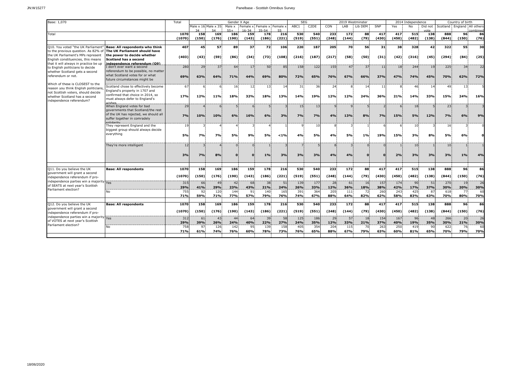# JN:W15277 Panelbase - Scottish Omnibus Survey

| Base: 1,070                                                                 |                                                            | Total      |           |                     | Gender X Age  |                       |                                 |            | <b>SEG</b> |                   |            | 2019 Westminster |           |            |                | 2014 Independence |                    |            | Country of birth   |           |
|-----------------------------------------------------------------------------|------------------------------------------------------------|------------|-----------|---------------------|---------------|-----------------------|---------------------------------|------------|------------|-------------------|------------|------------------|-----------|------------|----------------|-------------------|--------------------|------------|--------------------|-----------|
|                                                                             |                                                            |            |           | Male x 16 Male x 35 | Male x<br>554 | Female x<br>$16 - 34$ | Female x: Female x<br>$35 - 54$ | 55.        | ABC1       | C <sub>2</sub> DE | CON        | LAB              | Lib DEM   | SNP        | Yes            | <b>No</b>         | Did not<br>$n + c$ | Scotland:  | England All others | ombined   |
| Total                                                                       |                                                            | 1070       | 158       | 169                 | 186           | 159                   | 178                             | 216        | 530        | 540               | 233        | 172              | 88        | 417        | 417            | 515               | 138                | 888        | 96                 | 86        |
|                                                                             |                                                            | (1070)     | (150)     | (176)               | (190)         | (143)                 | (186)                           | (221)      | (519)      | (551)             | (248)      | (144)            | (79)      | (430)      | (450)          | (482)             | (138)              | (844)      | (150)              | (76)      |
| Q10. You voted "the UK Parliamen                                            | Base: All respondents who think                            | 407        | 45        | 57                  | 89            | 37                    | 72                              | 106        | 220        | 187               | 205        | 70               | 56        | 31         | 38             | 328               | 42                 | 322        | 55                 | 30        |
| to the previous question. As 82% of                                         | The UK Parliament should have                              |            |           |                     |               |                       |                                 |            |            |                   |            |                  |           |            |                |                   |                    |            |                    |           |
| the UK Parliament's MPs represent                                           | the power to decide whether                                | (403)      | (43)      | (59)                | (86)          | (34)                  | (73)                            | (108)      | (216)      | (187)             | (217)      | (58)             | (50)      | (31)       | (42)           | (316)             | (45)               | (294)      | (84)               | (25)      |
| English constituencies, this means                                          | Scotland has a second                                      |            |           |                     |               |                       |                                 |            |            |                   |            |                  |           |            |                |                   |                    |            |                    |           |
| that it will always in practice be up                                       | independence referendum (09)<br>I don't ever want a second | 280        | 29        | 37                  | 64            | 17                    | 50                              | 85         | 158        | 122               | 155        | 47               | 37        | 11         | 18.            | 244               | 19                 | 225        | 34                 | 22        |
| to English politicians to decide<br>whether Scotland gets a second          | referendum to be possible, no matter                       |            |           |                     |               |                       |                                 |            |            |                   |            |                  |           |            |                |                   |                    |            |                    |           |
| referendum or not.                                                          | what Scotland votes for or what                            | 69%        | 63%       | 64%                 | 71%           | 44%                   | 69%                             | 80%        | 72%        | 65%               | 76%        | 67%              | 66%       | 37%        | 47%            | 74%               | 45%                | 70%        | 62%                | 72%       |
|                                                                             | future circumstances might be                              |            |           |                     |               |                       |                                 |            |            |                   |            |                  |           |            |                |                   |                    |            |                    |           |
| Which of these is CLOSEST to the                                            | Scotland chose to effectively become                       | 67         |           |                     | 16            | 12                    | 13                              | 14         | 31         | 36                | 24         |                  | 14        | 11         | 8              | 46                | -14                | 49         | 13                 |           |
| reason you think English politicians                                        | England's property in 1707 and                             |            |           |                     |               |                       |                                 |            |            |                   |            |                  |           |            |                |                   |                    |            |                    |           |
| not Scottish voters, should decide<br>whether Scotland has a second         | confirmed that choice in 2014, so                          | 17%        | 12%       | 11%                 | 18%           | 32%                   | <b>18%</b>                      | 13%        | <b>14%</b> | 19%               | 12%        | 12%              | 24%       | 36%        | 21%            | <b>14%</b>        | 33%                | 15%        | <b>24%</b>         | 16%       |
| independence referendum?                                                    | must always defer to England's                             |            |           |                     |               |                       |                                 |            |            |                   |            |                  |           |            |                |                   |                    |            |                    |           |
|                                                                             | wishes<br>When England votes for bad                       | 29         |           |                     |               |                       |                                 |            | 15         | 13                |            |                  |           |            | 6 <sup>1</sup> | 18                |                    | 23         |                    |           |
|                                                                             | governments that Scotland/the rest                         |            |           |                     |               |                       |                                 |            |            |                   |            |                  |           |            |                |                   |                    |            |                    |           |
|                                                                             | of the UK has rejected, we should all                      | 7%         | 10%       | 10%                 | 6%            | 16%                   | 6%                              | 3%         | 7%         | 7%                | 4%         | 13%              | 8%        | 7%         | 15%            | <b>5%</b>         | 12%                | 7%         | 6%                 | 9%        |
|                                                                             | suffer together in comradely                               |            |           |                     |               |                       |                                 |            |            |                   |            |                  |           |            |                |                   |                    |            |                    |           |
|                                                                             | They represent England and the                             | 19         |           |                     |               |                       |                                 |            |            | 10                |            |                  |           |            | 61             | 10                |                    | 16         |                    |           |
|                                                                             | biggest group should always decide                         |            |           |                     |               |                       |                                 |            |            |                   |            |                  |           |            |                |                   |                    |            |                    |           |
|                                                                             | everything                                                 | <b>5%</b>  | 7%        | <b>7%</b>           | 5%            | 9%                    | <b>5%</b>                       | < 1%       | 4%         | 5%                | 4%         | 5%               | 1%        | 19%        | 15%            | 3%                | 8%                 | 5%         | 6%                 |           |
|                                                                             |                                                            |            |           |                     |               |                       |                                 |            |            |                   |            |                  |           |            |                |                   |                    |            |                    |           |
|                                                                             | They're more intelligent                                   | 12         |           |                     | $\Omega$      |                       |                                 |            |            |                   |            |                  |           |            |                | 10                |                    | 10         |                    |           |
|                                                                             |                                                            |            |           |                     |               |                       |                                 |            |            |                   |            |                  |           |            |                |                   |                    |            |                    |           |
|                                                                             |                                                            | 3%         | 7%        | 8%                  | 0.            |                       | 1%                              | 3%         | 3%         | 3%                | 4%         | 4%               |           |            | 2%             | 3%                | 3%                 | 3%         | 1%                 | 4%        |
|                                                                             |                                                            |            |           |                     |               |                       |                                 |            |            |                   |            |                  |           |            |                |                   |                    |            |                    |           |
| Q11. Do you believe the UK                                                  | <b>Base: All respondents</b>                               | 1070       | 158       | 169                 | 186           | 159                   | 178                             | 216        | 530        | 540               | 233        | 172              | 88        | 417        | 417            | 515               | 138                | 888        | 96                 | 86        |
| government will grant a second                                              |                                                            |            |           |                     |               |                       |                                 |            |            |                   |            |                  |           |            |                |                   |                    |            |                    |           |
| independence referendum if pro-                                             |                                                            | (1070)     | (150)     | (176)               | (190)         | (143)                 | (186)                           | (221)      | (519)      | (551)             | (248)      | (144)            | (79)      | (430)      | (450)          | (482)             | (138)              | (844)      | (150)              | (76)      |
| independence parties win a majority Yes<br>of SEATS at next year's Scottish |                                                            | 315        | 66        | 49                  | 42            | 68                    | 38                              | 51         | 139        | 177               | 28         | 61               | 16        | 157        | 174            | 90                | 51                 | 270        | 19                 | 26        |
| Parliament election?                                                        |                                                            | 29%        | 41%       | 29%                 | 23%           | 43%                   | 21%                             | 24%        | 26%        | 33%               | 12%        | 36%              | 18%       | 38%        | 42%            | 17%               | 37%                | 30%        | 20%                | 30%       |
|                                                                             | No                                                         | 755<br>71% | 92<br>59% | 120<br>71%          | 144<br>77%    | 91<br>57%             | 140<br>79%                      | 165<br>76% | 391<br>74% | 364<br>67%        | 205<br>88% | 111<br>64%       | 72<br>82% | 260<br>62% | 243<br>58%     | 425<br>83%        | 87<br>63%          | 618<br>70% | 77<br>80%          | 60<br>70% |
|                                                                             |                                                            |            |           |                     |               |                       |                                 |            |            |                   |            |                  |           |            |                |                   |                    |            |                    |           |
| Q12. Do you believe the UK                                                  | <b>Base: All respondents</b>                               | 1070       | 158       | 169                 | 186           | 159                   | 178                             | 216        | 530        | 540               | 233        | 172              | 88        | 417        | 417            | 515               | 138                | 888        | 96.                | 86        |
| government will grant a second<br>independence referendum if pro-           |                                                            |            |           |                     |               |                       |                                 |            |            |                   |            |                  |           |            |                |                   |                    |            |                    |           |
|                                                                             |                                                            | (1070)     | (150)     | (176)               | (190)         | (143)                 | (186)                           | (221)      | (519)      | (551)             | (248)      | (144)            | (79)      | (430)      | (450)          | (482)             | (138)              | (844)      | (150)              | (76)      |
| independence parties win a majority Yes<br>of VOTES at next year's Scottish |                                                            | 312        | 61        | 43                  | 44            | 64                    | 39                              | 58         | 125        | 186               | 29         | 57               | 18        | 154        | 167            | 96                | 48                 | 266        | 20                 | 26        |
| Parliament election?                                                        |                                                            | 29%        | 39%       | 26%                 | 24%           | 40%                   | 22%                             | 27%        | 24%        | 35%               | 12%        | 33%              | 21%       | 37%        | 40%            | 19%               | 35%                | 30%        | 21%                | 30%       |
|                                                                             | No                                                         | 758<br>71% | 97        | 126<br>74%          | 142<br>76%    | 95<br>60%             | 139<br>78%                      | 158<br>73% | 405<br>76% | 354<br>65%        | 204        | 115              | 70<br>79% | 263<br>63% | 250<br>60%     | 419               | 90<br>65%          | 622<br>70% | 76<br>79%          | 60        |
|                                                                             |                                                            |            | 61%       |                     |               |                       |                                 |            |            |                   | 88%        | 67%              |           |            |                | 81%               |                    |            |                    | 70%       |
|                                                                             |                                                            |            |           |                     |               |                       |                                 |            |            |                   |            |                  |           |            |                |                   |                    |            |                    |           |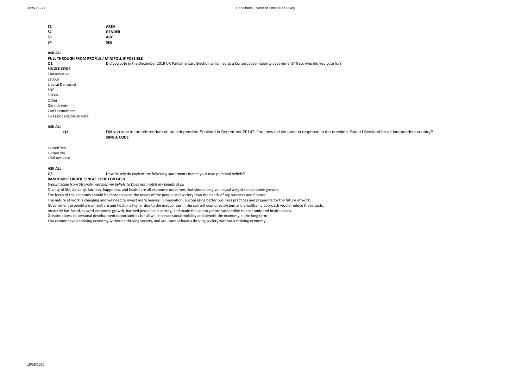| S1 | <b>AREA</b>   |
|----|---------------|
| S2 | <b>GENDER</b> |
| S3 | AGE           |
| S4 | <b>SEG</b>    |

#### **ASK ALL**

#### **PULL THROUGH FROM PROFILE / MINIPOLL IF POSSIBLE**

| Q1                         | Did you vote in the December 2019 UK Parliamentary Election which led to a Conservative majority government? If so, who did you vote for? |
|----------------------------|-------------------------------------------------------------------------------------------------------------------------------------------|
| <b>SINGLE CODE</b>         |                                                                                                                                           |
| Conservative               |                                                                                                                                           |
| Labour                     |                                                                                                                                           |
| Liberal Democrat           |                                                                                                                                           |
| <b>SNP</b>                 |                                                                                                                                           |
| Green                      |                                                                                                                                           |
| Other                      |                                                                                                                                           |
| Did not vote               |                                                                                                                                           |
| Can't remember             |                                                                                                                                           |
| I was not eligible to vote |                                                                                                                                           |
|                            |                                                                                                                                           |

### **ASK ALL**

Q2 [Did you vote in the referendum on an independent Scotland in September 2014? If so, how did you vote in response to the question: Should Scotland be an independent country?](https://owa.dipsticksresearch.com/owa/UrlBlockedError.aspx) **SINGLE CODE**

I voted Yes I voted No I did not vote

# **ASK ALL**

How closely do each of the following statements match your own personal beliefs?

### **RANDOMISE ORDER. SINGLE CODE FOR EACH**

*5-point scale from Strongly matches my beliefs to Does not match my beliefs at all*

Quality of life, equality, fairness, happiness, and health are all economic outcomes that should be given equal weight to economic growth.

The focus of the economy should be more to serve the needs of the people and society than the needs of big business and finance.

The nature of work is changing and we need to invest more heavily in innovation, encouraging better business practices and preparing for the future of work.

Government expenditure on welfare and health is higher due to the inequalities in the current economic system and a wellbeing approach would reduce those costs.

Austerity has failed, slowed economic growth, harmed people and society, and made the country more susceptible to economic and health crises.

Greater access to personal development opportunities for all will increase social mobility and benefit the economy in the long term.

You cannot have a thriving economy without a thriving society, and you cannot have a thriving society without a thriving economy.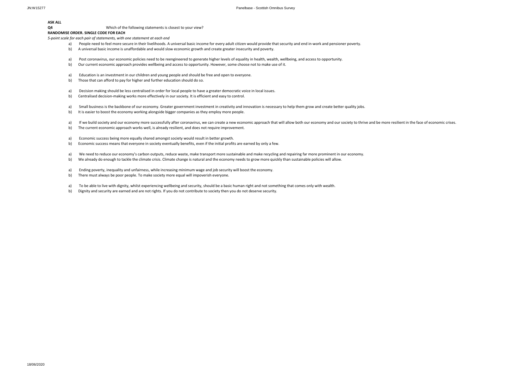# **ASK ALL**

Which of the following statements is closest to your view?

### **RANDOMISE ORDER. SINGLE CODE FOR EACH**

*5-point scale for each pair of statements, with one statement at each end*

- a) People need to feel more secure in their livelihoods. A universal basic income for every adult citizen would provide that security and end in-work and pensioner poverty.
- b) A universal basic income is unaffordable and would slow economic growth and create greater insecurity and poverty.
- a) Post coronavirus, our economic policies need to be reengineered to generate higher levels of equality in health, wealth, wellbeing, and access to opportunity.
- b) Our current economic approach provides wellbeing and access to opportunity. However, some choose not to make use of it.
- a) Education is an investment in our children and young people and should be free and open to everyone.
- b) Those that can afford to pay for higher and further education should do so.
- a) Decision making should be less centralised in order for local people to have a greater democratic voice in local issues.
- b) Centralised decision-making works more effectively in our society. It is efficient and easy to control.
- a) Small business is the backbone of our economy. Greater government investment in creativity and innovation is necessary to help them grow and create better quality jobs.<br>b) It is easier to boost the economy working along
- It is easier to boost the economy working alongside bigger companies as they employ more people.
- a) If we build society and our economy more successfully after coronavirus, we can create a new economic approach that will allow both our economy and our society to thrive and be more resilient in the face of economic cri
- b) The current economic approach works well, is already resilient, and does not require improvement.
- a) Economic success being more equally shared amongst society would result in better growth.
- b) Economic success means that everyone in society eventually benefits, even if the initial profits are earned by only a few.
- a) We need to reduce our economy's carbon outputs, reduce waste, make transport more sustainable and make recycling and repairing far more prominent in our economy.
- b) We already do enough to tackle the climate crisis. Climate change is natural and the economy needs to grow more quickly than sustainable policies will allow.
- a) Ending poverty, inequality and unfairness, while increasing minimum wage and job security will boost the economy.
- b) There must always be poor people. To make society more equal will impoverish everyone.
- a) To be able to live with dignity, whilst experiencing wellbeing and security, should be a basic human right and not something that comes only with wealth.
- b) Dignity and security are earned and are not rights. If you do not contribute to society then you do not deserve security.